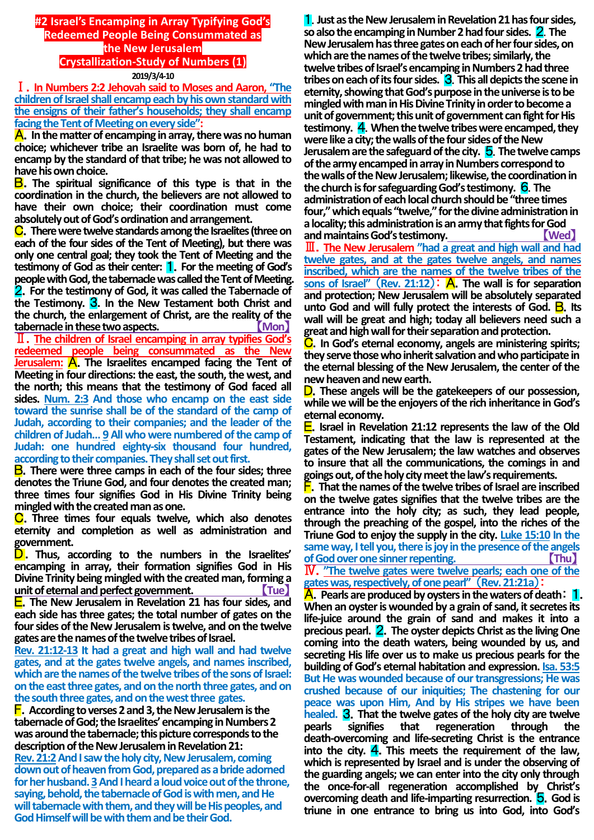### **#2 Israel's Encamping in Array Typifying God's Redeemed People Being Consummated as the New Jerusalem Crystallization-Study of Numbers (1) 2019/3/4-10**

Ⅰ.**In Numbers 2:2 Jehovah said to Moses and Aaron, "The children of Israel shall encamp each by his own standard with the ensigns of their father's households; they shall encamp facing the Tent of Meeting on every side":** 

A.**In the matter of encamping in array, there was no human choice; whichever tribe an Israelite was born of, he had to encamp by the standard of that tribe; he was not allowed to have his own choice.**

B.**The spiritual significance of this type is that in the coordination in the church, the believers are not allowed to have their own choice; their coordination must come absolutely out of God's ordination and arrangement.**

C.**There were twelve standards among the Israelites (three on each of the four sides of the Tent of Meeting), but there was only one central goal; they took the Tent of Meeting and the testimony of God as their center:** 1.**For the meeting of God's people with God, the tabernacle was called the Tent of Meeting.** 2.**For the testimony of God, it was called the Tabernacle of the Testimony.** 3.**In the New Testament both Christ and the church, the enlargement of Christ, are the reality of the tabernacle in these two aspects.** 【**Mon**】

Ⅱ.**The children of Israel encamping in array typifies God's redeemed people being consummated as the New Jerusalem:** A.**The Israelites encamped facing the Tent of Meeting in four directions: the east, the south, the west, and the north; this means that the testimony of God faced all sides. Num. 2:3 And those who encamp on the east side toward the sunrise shall be of the standard of the camp of Judah, according to their companies; and the leader of the children of Judah… 9All who were numbered of the camp of Judah: one hundred eighty-six thousand four hundred, according to their companies. They shall set out first.**

B.**There were three camps in each of the four sides; three denotes the Triune God, and four denotes the created man; three times four signifies God in His Divine Trinity being mingled with the created man as one.**

C.**Three times four equals twelve, which also denotes eternity and completion as well as administration and government.**

D. Thus, according to the numbers in the Israelites' **encamping in array, their formation signifies God in His Divine Trinity being mingled with the created man, forming a unit ofeternal and perfect government.** 【**Tue**】

E.**The New Jerusalem in Revelation 21 has four sides, and each side has three gates; the total number of gates on the four sides of the New Jerusalem is twelve, and on the twelve gates are the names of the twelve tribes of Israel.** 

**Rev. 21:12-13 It had a great and high wall and had twelve gates, and at the gates twelve angels, and names inscribed, which are the names of the twelve tribes of the sons of Israel: on the east three gates, and on the north three gates, and on the south three gates, and on the west three gates.**

F.**According to verses 2 and 3, the New Jerusalem is the tabernacle of God; the Israelites' encamping in Numbers 2 was around the tabernacle; this picture corresponds to the description of the New Jerusalem in Revelation 21:** 

**Rev.21:2And I saw the holy city, New Jerusalem, coming down out of heaven from God, prepared as a bride adorned for her husband. 3And I heard a loud voice out of the throne, saying, behold, the tabernacle of God is with men, and He will tabernacle with them, and they will be His peoples, and God Himself will be with them and be their God.**

1. **Just as the New Jerusalem in Revelation 21 has four sides, so also the encamping in Number 2 had four sides.** 2. **The New Jerusalem has three gates on each of her four sides, on which are the names of the twelve tribes; similarly, the twelve tribes of Israel's encamping in Numbers 2 had three tribes on each of its four sides.** 3. **This all depicts the scene in eternity, showing that God's purpose in the universe is to be mingled with man in His Divine Trinity in order to become a unit of government; this unit of government can fight for His testimony.** 4. **When the twelve tribes were encamped, they were like a city; the walls of the four sides of the New Jerusalem are the safeguard of the city. 5. The twelve camps of the army encamped in array in Numbers correspond to the walls of the New Jerusalem; likewise, the coordination in the church is for safeguarding God's testimony.** 6. **The administration of each local church should be "three times four," which equals "twelve," for the divine administration in a locality; this administration is an army that fights for God andmaintains God's testimony.** 【**Wed**】

Ⅲ.**The New Jerusalem "had a great and high wall and had twelve gates, and at the gates twelve angels, and names inscribed, which are the names of the twelve tribes of the sons of Israel"** (**Rev. 21:12**): **A**. The wall is for separation **and protection; New Jerusalem will be absolutely separated unto God and will fully protect the interests of God.** B.**Its wall will be great and high; today all believers need such a great and high wall for their separation and protection.**

C.**In God's eternal economy, angels are ministering spirits; they serve those who inherit salvation and who participate in the eternal blessing of the New Jerusalem, the center of the new heaven and new earth.**

D.**These angels will be the gatekeepers of our possession, while we will be the enjoyers of the rich inheritance in God's eternal economy.**

E.**Israel in Revelation 21:12 represents the law of the Old Testament, indicating that the law is represented at the gates of the New Jerusalem; the law watches and observes to insure that all the communications, the comings in and goings out, of the holy city meet the law's requirements.** 

F.**That the names of the twelve tribes of Israel are inscribed on the twelve gates signifies that the twelve tribes are the entrance into the holy city; as such, they lead people, through the preaching of the gospel, into the riches of the Triune God to enjoy the supply in the city. Luke 15:10 In the same way, I tell you, there is joy in the presence of the angels of God overone sinner repenting.** 【**Thu**】

Ⅳ.**"The twelve gates were twelve pearls; each one of the gates was, respectively, of one pearl"** (**Rev. 21:21a**):

**A.** Pearls are produced by oysters in the waters of death: 1. **When an oyster is wounded by a grain of sand, it secretes its life-juice around the grain of sand and makes it into a precious pearl.** 2.**The oyster depicts Christ as the living One coming into the death waters, being wounded by us, and secreting His life over us to make us precious pearls for the building of God's eternal habitation and expression. Isa. 53:5 But He was wounded because of our transgressions; He was crushed because of our iniquities; The chastening for our peace was upon Him, And by His stripes we have been healed.** 3.**That the twelve gates of the holy city are twelve pearls signifies that regeneration through the death-overcoming and life-secreting Christ is the entrance into the city.** 4.**This meets the requirement of the law, which is represented by Israel and is under the observing of the guarding angels; we can enter into the city only through the once-for-all regeneration accomplished by Christ's overcoming death and life-imparting resurrection.** 5.**God is triune in one entrance to bring us into God, into God's**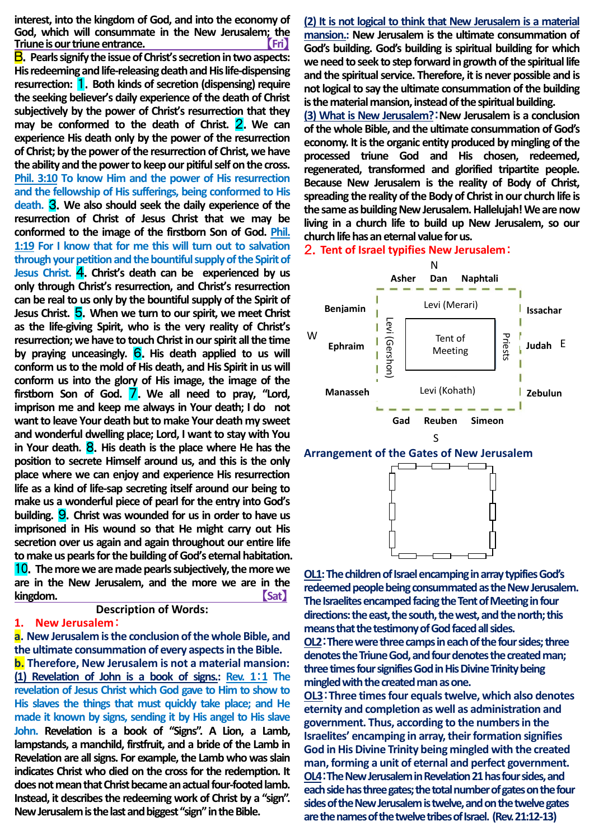**interest, into the kingdom of God, and into the economy of God, which will consummate in the New Jerusalem; the Triune is our triune entrance.** 【**Fri**】

B.**Pearls signify the issue of Christ's secretion in two aspects: His redeeming and life-releasing death and His life-dispensing resurrection:** 1.**Both kinds of secretion (dispensing) require the seeking believer's daily experience of the death of Christ subjectively by the power of Christ's resurrection that they may be conformed to the death of Christ.** 2.**We can experience His death only by the power of the resurrection of Christ; by the power of the resurrection of Christ, we have the ability and the power to keep our pitiful self on the cross. Phil. 3:10 To know Him and the power of His resurrection and the fellowship of His sufferings, being conformed to His death.** 3.**We also should seek the daily experience of the resurrection of Christ of Jesus Christ that we may be conformed to the image of the firstborn Son of God. Phil. 1:19 For I know that for me this will turn out to salvation through your petition and the bountiful supply of the Spirit of Jesus Christ.** 4.**Christ's death can be experienced by us only through Christ's resurrection, and Christ's resurrection can be real to us only by the bountiful supply of the Spirit of Jesus Christ.** 5.**When we turn to our spirit, we meet Christ as the life-giving Spirit, who is the very reality of Christ's resurrection; we have to touch Christ in our spirit all the time by praying unceasingly.** 6.**His death applied to us will conform us to the mold of His death, and His Spirit in us will conform us into the glory of His image, the image of the firstborn Son of God.** 7.**We all need to pray, "Lord, imprison me and keep me always in Your death; I do not want to leave Your death but to make Your death my sweet and wonderful dwelling place; Lord, I want to stay with You in Your death.** 8.**His death is the place where He has the position to secrete Himself around us, and this is the only place where we can enjoy and experience His resurrection life as a kind of life-sap secreting itself around our being to make us a wonderful piece of pearl for the entry into God's building.** 9.**Christ was wounded for us in order to have us imprisoned in His wound so that He might carry out His secretion over us again and again throughout our entire life to make us pearls for the building of God's eternal habitation.** 10.**The more we are made pearls subjectively, the more we are in the New Jerusalem, and the more we are in the kingdom.** 【**Sat**】

### **Description of Words:**

#### **1. New Jerusalem**:

**a. New Jerusalem is the conclusion of the whole Bible, and the ultimate consummation of every aspects in the Bible.**

**b. Therefore, New Jerusalem is not a material mansion: (1) Revelation of John is a book of signs.: Rev. 1**:**1 The revelation of Jesus Christ which God gave to Him to show to His slaves the things that must quickly take place; and He made it known by signs, sending it by His angel to His slave John. Revelation is a book of "Signs". A Lion, a Lamb, lampstands, a manchild, firstfruit, and a bride of the Lamb in Revelation are all signs. For example, the Lamb who was slain indicates Christ who died on the cross for the redemption. It does not mean that Christ became an actual four-footed lamb. Instead, it describes the redeeming work of Christ by a "sign". New Jerusalem is the last and biggest "sign" in the Bible.**

**(2) It is not logical to think that New Jerusalem is a material mansion.: New Jerusalem is the ultimate consummation of God's building. God's building is spiritual building for which we need to seek to step forward in growth of the spiritual life and the spiritual service. Therefore, it is never possible and is not logical to say the ultimate consummation of the building is the material mansion, instead of the spiritual building.**

**(3) What is New Jerusalem?**:**New Jerusalem is a conclusion of the whole Bible, and the ultimate consummation of God's economy. It is the organic entity produced by mingling of the processed triune God and His chosen, redeemed, regenerated, transformed and glorified tripartite people. Because New Jerusalem is the reality of Body of Christ, spreading the reality of the Body of Christ in our church life is the same as building New Jerusalem. Hallelujah! We are now living in a church life to build up New Jerusalem, so our church life has aneternal value for us.**

#### 2.**Tent of Israel typifies New Jerusalem**:



#### **Arrangement of the Gates of New Jerusalem**



**OL1: The children of Israel encamping in array typifies God's redeemed people being consummated as the New Jerusalem. The Israelites encamped facing the Tent of Meeting in four directions: the east, the south, the west, and the north; this means that the testimony of God faced all sides. OL2**:**There were three camps in each of the four sides; three denotes the Triune God, and four denotes the created man; three times four signifies God in His Divine Trinity being mingled with the created man as one.**

**OL3**:**Three times four equals twelve, which also denotes eternity and completion as well as administration and government. Thus, according to the numbers in the Israelites' encamping in array, their formation signifies God in His Divine Trinity being mingled with the created man, forming a unit of eternal and perfect government. OL4**:**The New Jerusalem in Revelation 21 has four sides, and each side has three gates; the total number of gates on the four sides of the New Jerusalem is twelve, and on the twelve gates are the names of the twelve tribes of Israel. (Rev. 21:12-13)**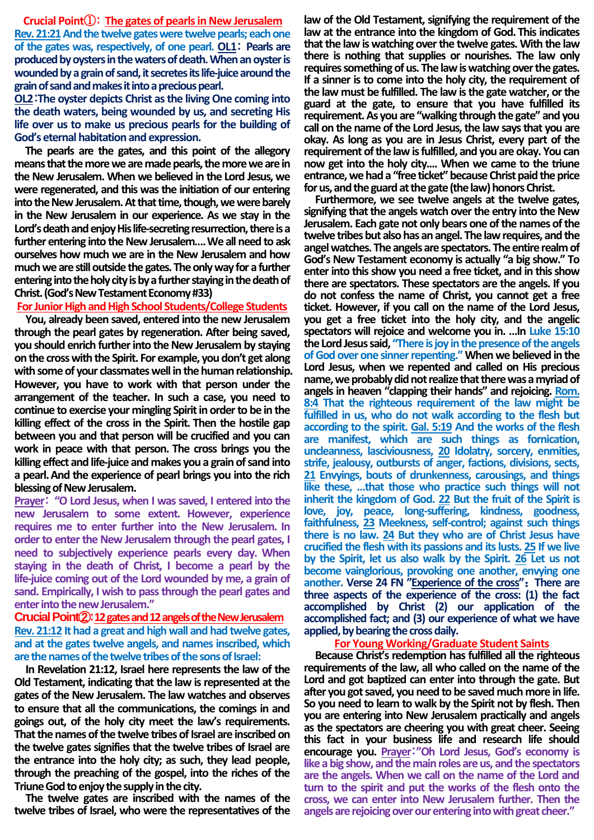**Crucial Point**①: **The gates of pearls in New Jerusalem Rev. 21:21And the twelve gates were twelve pearls; each one of the gates was, respectively, of one pearl. OL1**: **Pearls are produced by oysters in the waters of death. When an oyster is wounded by a grain of sand, it secretes its life-juice around the grain of sand and makes it into a precious pearl.**

**OL2**:**The oyster depicts Christ as the living One coming into the death waters, being wounded by us, and secreting His life over us to make us precious pearls for the building of God's eternal habitation and expression.**

**The pearls are the gates, and this point of the allegory means that the more we are made pearls, the more we are in the New Jerusalem. When we believed in the Lord Jesus, we were regenerated, and this was the initiation of our entering into the New Jerusalem. At that time, though, we were barely in the New Jerusalem in our experience. As we stay in the Lord's death and enjoy His life-secreting resurrection, there is a further entering into the New Jerusalem….We all need to ask ourselves how much we are in the New Jerusalem and how much we are still outside the gates. The only way for a further entering into the holy city is by a further staying in the death of Christ. (God's New Testament Economy #33)**

### **For Junior High and High School Students/College Students**

**You, already been saved, entered into the new Jerusalem through the pearl gates by regeneration. After being saved, you should enrich further into the New Jerusalem by staying on the cross with the Spirit. For example, you don't get along with some of your classmates well in the human relationship. However, you have to work with that person under the arrangement of the teacher. In such a case, you need to continue to exercise your mingling Spirit in order to be in the killing effect of the cross in the Spirit. Then the hostile gap between you and that person will be crucified and you can work in peace with that person. The cross brings you the killing effect and life-juice and makes you a grain of sand into a pearl.And the experience of pearl brings you into the rich blessing of New Jerusalem.**

**Prayer**: **"O Lord Jesus, when I was saved, I entered into the new Jerusalem to some extent. However, experience requires me to enter further into the New Jerusalem. In order to enter the New Jerusalem through the pearl gates, I need to subjectively experience pearls every day. When staying in the death of Christ, I become a pearl by the life-juice coming out of the Lord wounded by me, a grain of sand. Empirically, I wish to pass through the pearl gates and enter into the new Jerusalem."**

# **Crucial Point**②:**12 gates and 12 angels of the New Jerusalem**

**Rev. 21:12 It had a great and high wall and had twelve gates, and at the gates twelve angels, and names inscribed, which are the names of the twelve tribes of the sons of Israel:**

**In Revelation 21:12, Israel here represents the law of the Old Testament, indicating that the law is represented at the gates of the New Jerusalem. The law watches and observes to ensure that all the communications, the comings in and goings out, of the holy city meet the law's requirements. That the names of the twelve tribes of Israel are inscribed on the twelve gates signifies that the twelve tribes of Israel are the entrance into the holy city; as such, they lead people, through the preaching of the gospel, into the riches of the Triune God to enjoy the supply in the city.**

**The twelve gates are inscribed with the names of the twelve tribes of Israel, who were the representatives of the** 

**law of the Old Testament, signifying the requirement of the law at the entrance into the kingdom of God. This indicates that the law is watching over the twelve gates. With the law there is nothing that supplies or nourishes. The law only requires something of us. The law is watching over the gates. If a sinner is to come into the holy city, the requirement of the law must be fulfilled. The law is the gate watcher, or the guard at the gate, to ensure that you have fulfilled its requirement. As you are "walking through the gate" and you call on the name of the Lord Jesus, the law says that you are okay. As long as you are in Jesus Christ, every part of the requirement of the law is fulfilled, and you are okay. You can now get into the holy city.... When we came to the triune entrance, we had a "free ticket" because Christ paid the price for us, and the guard at the gate (the law) honors Christ.** 

**Furthermore, we see twelve angels at the twelve gates, signifying that the angels watch over the entry into the New Jerusalem. Each gate not only bears one of the names of the twelve tribes but also has an angel. The law requires, and the angel watches. The angels are spectators. The entire realm of God's New Testament economy is actually "a big show." To enter into this show you need a free ticket, and in this show there are spectators. These spectators are the angels. If you do not confess the name of Christ, you cannot get a free ticket. However, if you call on the name of the Lord Jesus, you get a free ticket into the holy city, and the angelic spectators will rejoice and welcome you in. …In Luke 15:10 the Lord Jesus said, "There is joy in the presence of the angels of God over one sinner repenting." When we believed in the Lord Jesus, when we repented and called on His precious name, we probably did not realize that there was a myriad of angels in heaven "clapping their hands" and rejoicing. Rom. 8:4 That the righteous requirement of the law might be fulfilled in us, who do not walk according to the flesh but according to the spirit. Gal. 5:19 And the works of the flesh are manifest, which are such things as fornication, uncleanness, lasciviousness, 20 Idolatry, sorcery, enmities, strife, jealousy, outbursts of anger, factions, divisions, sects, 21 Envyings, bouts of drunkenness, carousings, and things like these, …that those who practice such things will not inherit the kingdom of God. 22 But the fruit of the Spirit is love, joy, peace, long-suffering, kindness, goodness, faithfulness, 23 Meekness, self-control; against such things there is no law. 24 But they who are of Christ Jesus have crucified the flesh with its passions and its lusts. 25 If we live by the Spirit, let us also walk by the Spirit. 26 Let us not become vainglorious, provoking one another, envying one another. Verse 24 FN "Experience of the cross"**:**There are three aspects of the experience of the cross: (1) the fact accomplished by Christ (2) our application of the accomplished fact; and (3) our experience of what we have applied, by bearing the cross daily.**

#### **For Young Working/Graduate Student Saints**

**Because Christ's redemption has fulfilled all the righteous requirements of the law, all who called on the name of the Lord and got baptized can enter into through the gate. But after you got saved, you need to be saved much more in life. So you need to learn to walk by the Spirit not by flesh. Then you are entering into New Jerusalem practically and angels as the spectators are cheering you with great cheer. Seeing this fact in your business life and research life should encourage you. Prayer**:**"Oh Lord Jesus, God's economy is like a big show, and the main roles are us, and the spectators are the angels. When we call on the name of the Lord and turn to the spirit and put the works of the flesh onto the cross, we can enter into New Jerusalem further. Then the angels are rejoicing over our entering into with great cheer."**